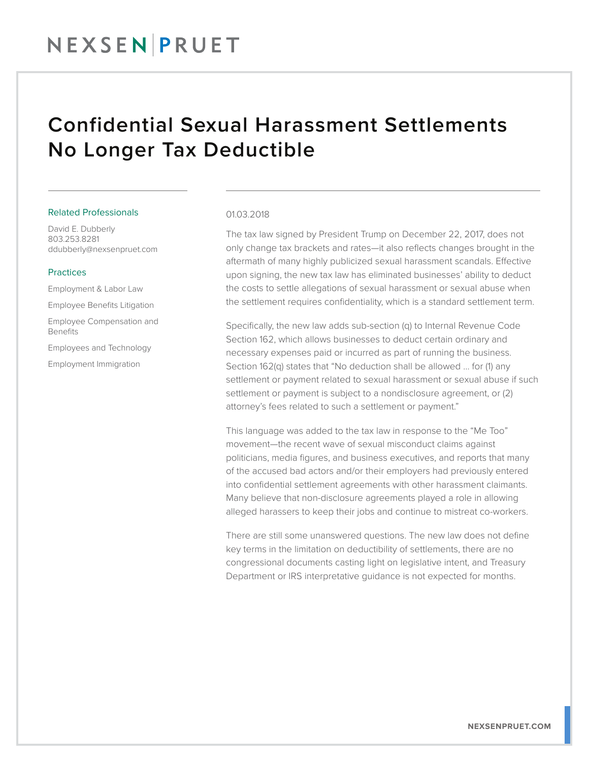# NEXSENPRUET

## Confidential Sexual Harassment Settlements No Longer Tax Deductible

#### Related Professionals

David E. Dubberly 803.253.8281 ddubberly@nexsenpruet.com

### Practices

Employment & Labor Law Employee Benefits Litigation Employee Compensation and Benefits

Employees and Technology

Employment Immigration

#### 01.03.2018

The tax law signed by President Trump on December 22, 2017, does not only change tax brackets and rates—it also reflects changes brought in the aftermath of many highly publicized sexual harassment scandals. Effective upon signing, the new tax law has eliminated businesses' ability to deduct the costs to settle allegations of sexual harassment or sexual abuse when the settlement requires confidentiality, which is a standard settlement term.

Specifically, the new law adds sub-section (q) to Internal Revenue Code Section 162, which allows businesses to deduct certain ordinary and necessary expenses paid or incurred as part of running the business. Section 162(q) states that "No deduction shall be allowed … for (1) any settlement or payment related to sexual harassment or sexual abuse if such settlement or payment is subject to a nondisclosure agreement, or  $(2)$ attorney's fees related to such a settlement or payment."

This language was added to the tax law in response to the "Me Too" movement—the recent wave of sexual misconduct claims against politicians, media figures, and business executives, and reports that many of the accused bad actors and/or their employers had previously entered into confidential settlement agreements with other harassment claimants. Many believe that non-disclosure agreements played a role in allowing alleged harassers to keep their jobs and continue to mistreat co-workers.

There are still some unanswered questions. The new law does not define key terms in the limitation on deductibility of settlements, there are no congressional documents casting light on legislative intent, and Treasury Department or IRS interpretative guidance is not expected for months.